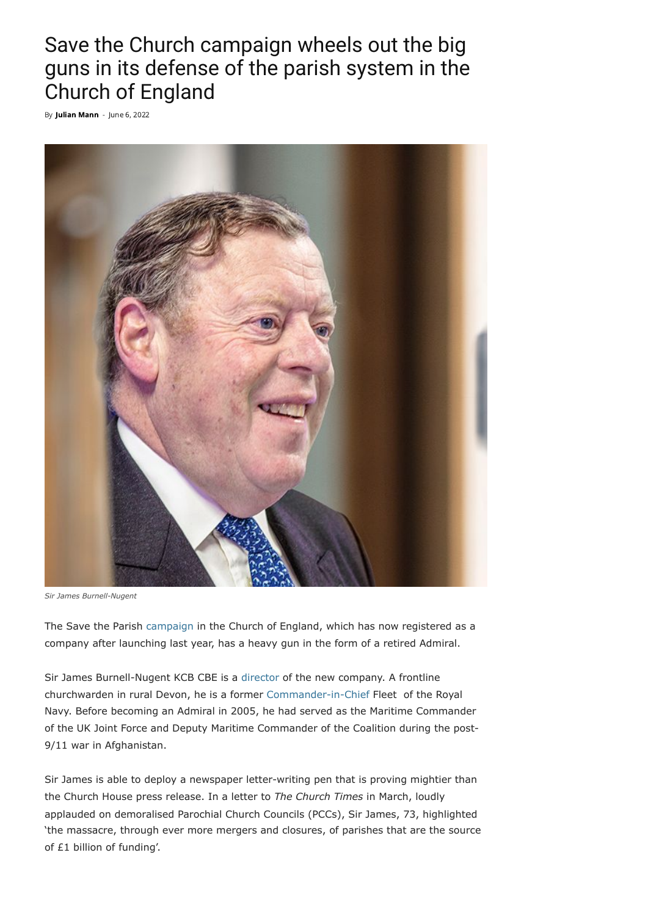## Save the Church campaign wheels out the big guns in its defense of the parish system in the Church of England

By **Julian [Mann](https://anglican.ink/author/julian-mann/)** - June 6, 2022



*Sir James Burnell-Nugent*

The Save the Parish [campaign](https://anglican.ink/2022/05/14/save-the-parish-campaign-clashes-with-the-bishop-of-truro-over-church-spending-priorities/) in the Church of England, which has now registered as a company after launching last year, has a heavy gun in the form of a retired Admiral.

Sir James Burnell-Nugent KCB CBE is a [director](https://find-and-update.company-information.service.gov.uk/company/13837420/officers) of the new company. A frontline churchwarden in rural Devon, he is a former [Commander-in-Chief](https://www.youtube.com/watch?v=kVA3NVzbpKA) Fleet of the Royal Navy. Before becoming an Admiral in 2005, he had served as the Maritime Commander of the UK Joint Force and Deputy Maritime Commander of the Coalition during the post-9/11 war in Afghanistan.

Sir James is able to deploy a newspaper letter-writing pen that is proving mightier than the Church House press release. In a letter to *The Church Times* in March, loudly applauded on demoralised Parochial Church Councils (PCCs), Sir James, 73, highlighted 'the massacre, through ever more mergers and closures, of parishes that are the source of £1 billion of funding'.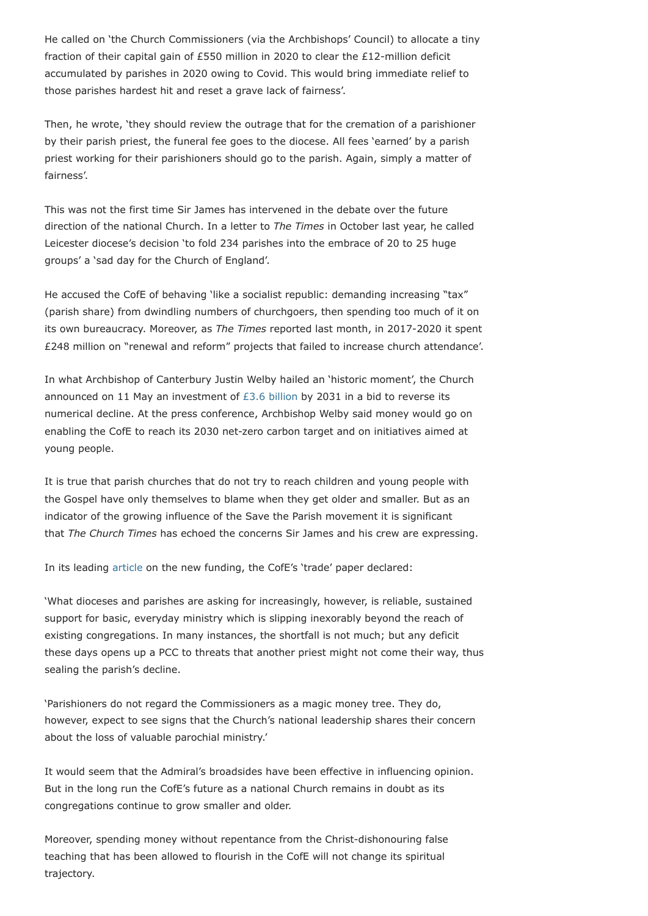He called on 'the Church Commissioners (via the Archbishops' Council) to allocate a tiny fraction of their capital gain of £550 million in 2020 to clear the £12-million deficit accumulated by parishes in 2020 owing to Covid. This would bring immediate relief to those parishes hardest hit and reset a grave lack of fairness'.

Then, he wrote, 'they should review the outrage that for the cremation of a parishioner by their parish priest, the funeral fee goes to the diocese. All fees 'earned' by a parish priest working for their parishioners should go to the parish. Again, simply a matter of fairness'.

This was not the first time Sir James has intervened in the debate over the future direction of the national Church. In a letter to *The Times* in October last year, he called Leicester diocese's decision 'to fold 234 parishes into the embrace of 20 to 25 huge groups' a 'sad day for the Church of England'.

He accused the CofE of behaving 'like a socialist republic: demanding increasing "tax" (parish share) from dwindling numbers of churchgoers, then spending too much of it on its own bureaucracy. Moreover, as *The Times* reported last month, in 2017-2020 it spent £248 million on "renewal and reform" projects that failed to increase church attendance'.

In what Archbishop of Canterbury Justin Welby hailed an 'historic moment', the Church announced on 11 May an investment of  $£3.6$  billion by 2031 in a bid to reverse its numerical decline. At the press conference, Archbishop Welby said money would go on enabling the CofE to reach its 2030 net-zero carbon target and on initiatives aimed at young people.

It is true that parish churches that do not try to reach children and young people with the Gospel have only themselves to blame when they get older and smaller. But as an indicator of the growing influence of the Save the Parish movement it is significant that *The Church Times* has echoed the concerns Sir James and his crew are expressing.

In its leading [article](https://www.churchtimes.co.uk/articles/2022/13-may/comment/leader-comment/leader-comment-not-managing-what-help-can-clergy-expect) on the new funding, the CofE's 'trade' paper declared:

'What dioceses and parishes are asking for increasingly, however, is reliable, sustained support for basic, everyday ministry which is slipping inexorably beyond the reach of existing congregations. In many instances, the shortfall is not much; but any deficit these days opens up a PCC to threats that another priest might not come their way, thus sealing the parish's decline.

'Parishioners do not regard the Commissioners as a magic money tree. They do, however, expect to see signs that the Church's national leadership shares their concern about the loss of valuable parochial ministry.'

It would seem that the Admiral's broadsides have been effective in influencing opinion. But in the long run the CofE's future as a national Church remains in doubt as its congregations continue to grow smaller and older.

Moreover, spending money without repentance from the Christ-dishonouring false teaching that has been allowed to flourish in the CofE will not change its spiritual trajectory.